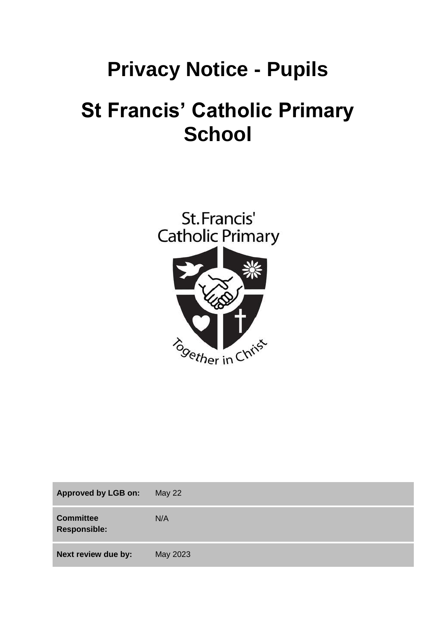# **Privacy Notice - Pupils**

# **St Francis' Catholic Primary School**



| <b>Approved by LGB on:</b>              | May $22$ |
|-----------------------------------------|----------|
| <b>Committee</b><br><b>Responsible:</b> | N/A      |
| Next review due by:                     | May 2023 |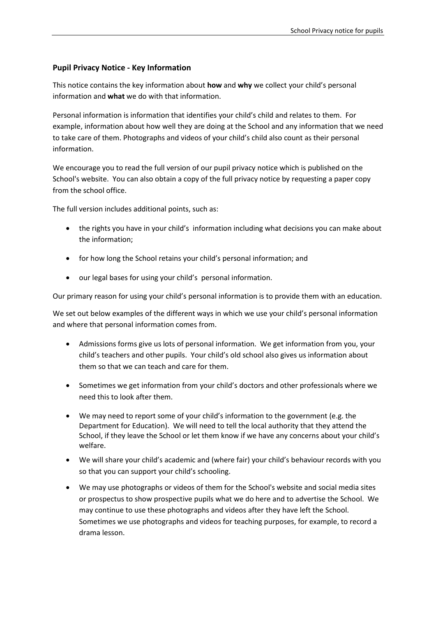# **Pupil Privacy Notice - Key Information**

This notice contains the key information about **how** and **why** we collect your child's personal information and **what** we do with that information.

Personal information is information that identifies your child's child and relates to them. For example, information about how well they are doing at the School and any information that we need to take care of them. Photographs and videos of your child's child also count as their personal information.

We encourage you to read the full version of our pupil privacy notice which is published on the School's website. You can also obtain a copy of the full privacy notice by requesting a paper copy from the school office.

The full version includes additional points, such as:

- the rights you have in your child's information including what decisions you can make about the information;
- for how long the School retains your child's personal information; and
- our legal bases for using your child's personal information.

Our primary reason for using your child's personal information is to provide them with an education.

We set out below examples of the different ways in which we use your child's personal information and where that personal information comes from.

- Admissions forms give us lots of personal information. We get information from you, your child's teachers and other pupils. Your child's old school also gives us information about them so that we can teach and care for them.
- Sometimes we get information from your child's doctors and other professionals where we need this to look after them.
- We may need to report some of your child's information to the government (e.g. the Department for Education). We will need to tell the local authority that they attend the School, if they leave the School or let them know if we have any concerns about your child's welfare.
- We will share your child's academic and (where fair) your child's behaviour records with you so that you can support your child's schooling.
- We may use photographs or videos of them for the School's website and social media sites or prospectus to show prospective pupils what we do here and to advertise the School. We may continue to use these photographs and videos after they have left the School. Sometimes we use photographs and videos for teaching purposes, for example, to record a drama lesson.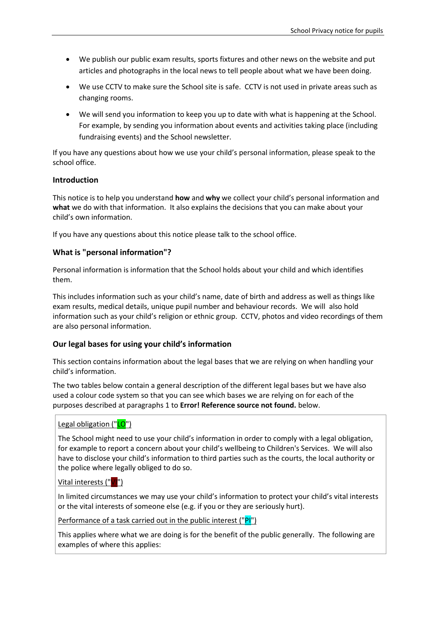- We publish our public exam results, sports fixtures and other news on the website and put articles and photographs in the local news to tell people about what we have been doing.
- We use CCTV to make sure the School site is safe. CCTV is not used in private areas such as changing rooms.
- We will send you information to keep you up to date with what is happening at the School. For example, by sending you information about events and activities taking place (including fundraising events) and the School newsletter.

If you have any questions about how we use your child's personal information, please speak to the school office.

#### **Introduction**

This notice is to help you understand **how** and **why** we collect your child's personal information and **what** we do with that information. It also explains the decisions that you can make about your child's own information.

If you have any questions about this notice please talk to the school office.

#### **What is "personal information"?**

Personal information is information that the School holds about your child and which identifies them.

This includes information such as your child's name, date of birth and address as well as things like exam results, medical details, unique pupil number and behaviour records. We will also hold information such as your child's religion or ethnic group. CCTV, photos and video recordings of them are also personal information.

#### **Our legal bases for using your child's information**

This section contains information about the legal bases that we are relying on when handling your child's information.

The two tables below contain a general description of the different legal bases but we have also used a colour code system so that you can see which bases we are relying on for each of the purposes described at paragraphs [1](#page-4-0) to **Error! Reference source not found.** below.

#### Legal obligation ("LO")

The School might need to use your child's information in order to comply with a legal obligation, for example to report a concern about your child's wellbeing to Children's Services. We will also have to disclose your child's information to third parties such as the courts, the local authority or the police where legally obliged to do so.

#### Vital interests ("VI")

In limited circumstances we may use your child's information to protect your child's vital interests or the vital interests of someone else (e.g. if you or they are seriously hurt).

Performance of a task carried out in the public interest ("PI")

This applies where what we are doing is for the benefit of the public generally. The following are examples of where this applies: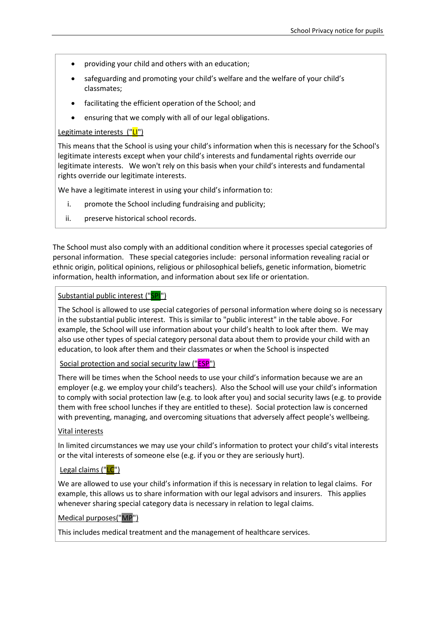- providing your child and others with an education;
- safeguarding and promoting your child's welfare and the welfare of your child's classmates;
- facilitating the efficient operation of the School; and
- ensuring that we comply with all of our legal obligations.

# Legitimate interests ("LI")

This means that the School is using your child's information when this is necessary for the School's legitimate interests except when your child's interests and fundamental rights override our legitimate interests. We won't rely on this basis when your child's interests and fundamental rights override our legitimate interests.

We have a legitimate interest in using your child's information to:

- i. promote the School including fundraising and publicity;
- ii. preserve historical school records.

The School must also comply with an additional condition where it processes special categories of personal information. These special categories include: personal information revealing racial or ethnic origin, political opinions, religious or philosophical beliefs, genetic information, biometric information, health information, and information about sex life or orientation.

#### Substantial public interest ("SPI")

The School is allowed to use special categories of personal information where doing so is necessary in the substantial public interest. This is similar to "public interest" in the table above. For example, the School will use information about your child's health to look after them. We may also use other types of special category personal data about them to provide your child with an education, to look after them and their classmates or when the School is inspected

Social protection and social security law ("ESP")

There will be times when the School needs to use your child's information because we are an employer (e.g. we employ your child's teachers). Also the School will use your child's information to comply with social protection law (e.g. to look after you) and social security laws (e.g. to provide them with free school lunches if they are entitled to these). Social protection law is concerned with preventing, managing, and overcoming situations that adversely affect people's wellbeing.

#### Vital interests

In limited circumstances we may use your child's information to protect your child's vital interests or the vital interests of someone else (e.g. if you or they are seriously hurt).

#### Legal claims ("LC")

We are allowed to use your child's information if this is necessary in relation to legal claims. For example, this allows us to share information with our legal advisors and insurers. This applies whenever sharing special category data is necessary in relation to legal claims.

#### Medical purposes("MP")

This includes medical treatment and the management of healthcare services.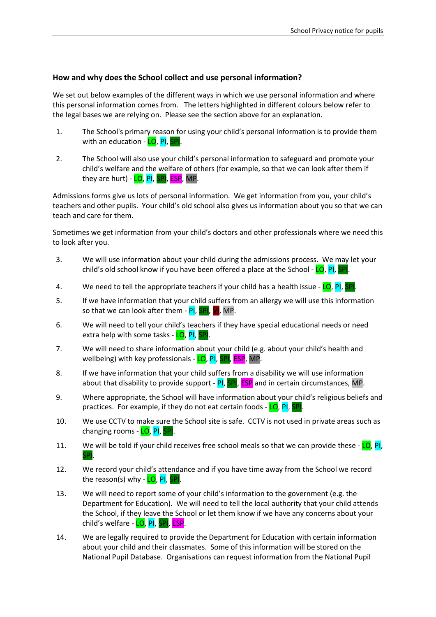# **How and why does the School collect and use personal information?**

We set out below examples of the different ways in which we use personal information and where this personal information comes from. The letters highlighted in different colours below refer to the legal bases we are relying on. Please see the section above for an explanation.

- <span id="page-4-0"></span>1. The School's primary reason for using your child's personal information is to provide them with an education - LO, PI, SPI.
- 2. The School will also use your child's personal information to safeguard and promote your child's welfare and the welfare of others (for example, so that we can look after them if they are hurt) - LO, PI, SPI, ESP, MP.

Admissions forms give us lots of personal information. We get information from you, your child's teachers and other pupils. Your child's old school also gives us information about you so that we can teach and care for them.

Sometimes we get information from your child's doctors and other professionals where we need this to look after you.

- 3. We will use information about your child during the admissions process. We may let your child's old school know if you have been offered a place at the School - LO, PI, SPI.
- 4. We need to tell the appropriate teachers if your child has a health issue  $LO$ , PI, SPI.
- 5. If we have information that your child suffers from an allergy we will use this information so that we can look after them -  $PI$ ,  $SPI$ ,  $VI$ , MP.
- 6. We will need to tell your child's teachers if they have special educational needs or need extra help with some tasks - LO, PI, SPI.
- 7. We will need to share information about your child (e.g. about your child's health and wellbeing) with key professionals - LO, PI, SPI, ESP, MP.
- 8. If we have information that your child suffers from a disability we will use information about that disability to provide support - PI, SPI, ESP and in certain circumstances, MP.
- 9. Where appropriate, the School will have information about your child's religious beliefs and practices. For example, if they do not eat certain foods - LO, PI, SPI.
- 10. We use CCTV to make sure the School site is safe. CCTV is not used in private areas such as changing rooms - LO, PI, SPI.
- 11. We will be told if your child receives free school meals so that we can provide these LO, PI, SPI.
- 12. We record your child's attendance and if you have time away from the School we record the reason(s) why - LO, PI, SPI.
- 13. We will need to report some of your child's information to the government (e.g. the Department for Education). We will need to tell the local authority that your child attends the School, if they leave the School or let them know if we have any concerns about your child's welfare - LO, PI, SPI, ESP.
- 14. We are legally required to provide the Department for Education with certain information about your child and their classmates. Some of this information will be stored on the National Pupil Database. Organisations can request information from the National Pupil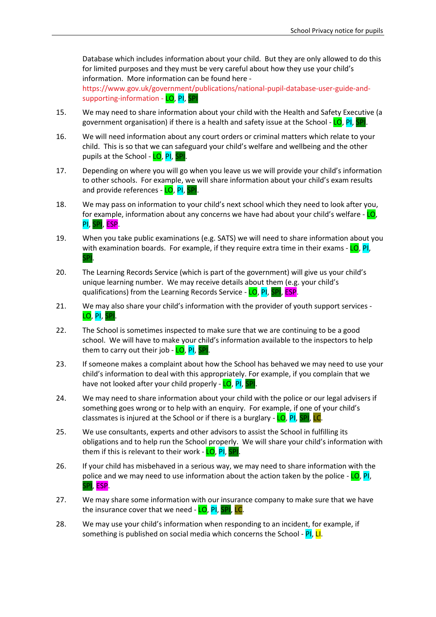Database which includes information about your child. But they are only allowed to do this for limited purposes and they must be very careful about how they use your child's information. More information can be found here [https://www.gov.uk/government/publications/national-pupil-database-user-guide-and-](https://www.gov.uk/government/publications/national-pupil-database-user-guide-and-supporting-information)

[supporting-information](https://www.gov.uk/government/publications/national-pupil-database-user-guide-and-supporting-information) - LO, PI, SPI

- 15. We may need to share information about your child with the Health and Safety Executive (a government organisation) if there is a health and safety issue at the School - LO, PI, SP
- 16. We will need information about any court orders or criminal matters which relate to your child. This is so that we can safeguard your child's welfare and wellbeing and the other pupils at the School - LO, PI, SPI
- 17. Depending on where you will go when you leave us we will provide your child's information to other schools. For example, we will share information about your child's exam results and provide references - LO, PI, SPI.
- 18. We may pass on information to your child's next school which they need to look after you, for example, information about any concerns we have had about your child's welfare -  $LO$ , PI, SPI, ESP.
- 19. When you take public examinations (e.g. SATS) we will need to share information about you with examination boards. For example, if they require extra time in their exams  $\sim$  LO, PI, SPI.
- 20. The Learning Records Service (which is part of the government) will give us your child's unique learning number. We may receive details about them (e.g. your child's qualifications) from the Learning Records Service - LO, PI, SPI, ESP.
- 21. We may also share your child's information with the provider of youth support services LO, PI, SPI.
- 22. The School is sometimes inspected to make sure that we are continuing to be a good school. We will have to make your child's information available to the inspectors to help them to carry out their job - LO, PI, SPI.
- 23. If someone makes a complaint about how the School has behaved we may need to use your child's information to deal with this appropriately. For example, if you complain that we have not looked after your child properly - LO, PI, SPI.
- 24. We may need to share information about your child with the police or our legal advisers if something goes wrong or to help with an enquiry. For example, if one of your child's classmates is injured at the School or if there is a burglary - LO, PI, SPI, LC.
- 25. We use consultants, experts and other advisors to assist the School in fulfilling its obligations and to help run the School properly. We will share your child's information with them if this is relevant to their work -  $LO$ ,  $PI$ ,  $SP$
- 26. If your child has misbehaved in a serious way, we may need to share information with the police and we may need to use information about the action taken by the police - LO, PI, SPI, ESP.
- 27. We may share some information with our insurance company to make sure that we have the insurance cover that we need - LO, PI, SPI, LC.
- 28. We may use your child's information when responding to an incident, for example, if something is published on social media which concerns the School -  $PI$ ,  $LI$ .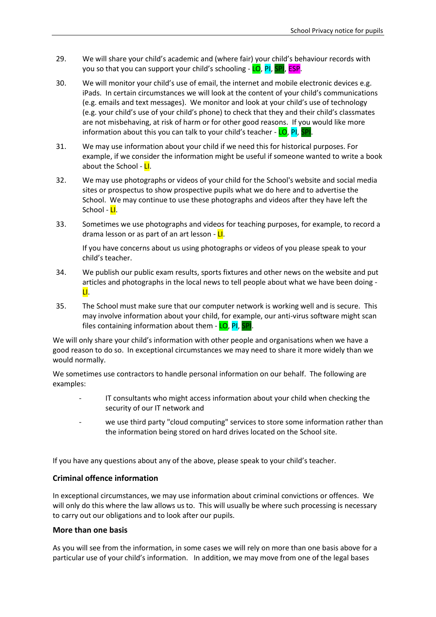- 29. We will share your child's academic and (where fair) your child's behaviour records with you so that you can support your child's schooling - LO, PI, SPI, ESP.
- 30. We will monitor your child's use of email, the internet and mobile electronic devices e.g. iPads. In certain circumstances we will look at the content of your child's communications (e.g. emails and text messages). We monitor and look at your child's use of technology (e.g. your child's use of your child's phone) to check that they and their child's classmates are not misbehaving, at risk of harm or for other good reasons. If you would like more information about this you can talk to your child's teacher - LO, PI, SPI.
- 31. We may use information about your child if we need this for historical purposes. For example, if we consider the information might be useful if someone wanted to write a book about the School - LI.
- 32. We may use photographs or videos of your child for the School's website and social media sites or prospectus to show prospective pupils what we do here and to advertise the School. We may continue to use these photographs and videos after they have left the School - <mark>LI</mark>.
- 33. Sometimes we use photographs and videos for teaching purposes, for example, to record a drama lesson or as part of an art lesson - LI.

If you have concerns about us using photographs or videos of you please speak to your child's teacher.

- 34. We publish our public exam results, sports fixtures and other news on the website and put articles and photographs in the local news to tell people about what we have been doing - LI.
- 35. The School must make sure that our computer network is working well and is secure. This may involve information about your child, for example, our anti-virus software might scan files containing information about them - LO, PI, SPI.

We will only share your child's information with other people and organisations when we have a good reason to do so. In exceptional circumstances we may need to share it more widely than we would normally.

We sometimes use contractors to handle personal information on our behalf. The following are examples:

- IT consultants who might access information about your child when checking the security of our IT network and
- we use third party "cloud computing" services to store some information rather than the information being stored on hard drives located on the School site.

If you have any questions about any of the above, please speak to your child's teacher.

#### **Criminal offence information**

In exceptional circumstances, we may use information about criminal convictions or offences. We will only do this where the law allows us to. This will usually be where such processing is necessary to carry out our obligations and to look after our pupils.

#### **More than one basis**

As you will see from the information, in some cases we will rely on more than one basis above for a particular use of your child's information. In addition, we may move from one of the legal bases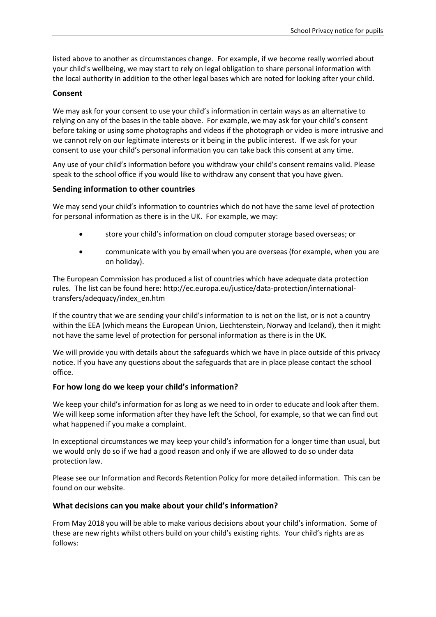listed above to another as circumstances change. For example, if we become really worried about your child's wellbeing, we may start to rely on legal obligation to share personal information with the local authority in addition to the other legal bases which are noted for looking after your child.

## **Consent**

We may ask for your consent to use your child's information in certain ways as an alternative to relying on any of the bases in the table above. For example, we may ask for your child's consent before taking or using some photographs and videos if the photograph or video is more intrusive and we cannot rely on our legitimate interests or it being in the public interest. If we ask for your consent to use your child's personal information you can take back this consent at any time.

Any use of your child's information before you withdraw your child's consent remains valid. Please speak to the school office if you would like to withdraw any consent that you have given.

# **Sending information to other countries**

We may send your child's information to countries which do not have the same level of protection for personal information as there is in the UK. For example, we may:

- store your child's information on cloud computer storage based overseas; or
- communicate with you by email when you are overseas (for example, when you are on holiday).

The European Commission has produced a list of countries which have adequate data protection rules. The list can be found here: http://ec.europa.eu/justice/data-protection/internationaltransfers/adequacy/index\_en.htm

If the country that we are sending your child's information to is not on the list, or is not a country within the EEA (which means the European Union, Liechtenstein, Norway and Iceland), then it might not have the same level of protection for personal information as there is in the UK.

We will provide you with details about the safeguards which we have in place outside of this privacy notice. If you have any questions about the safeguards that are in place please contact the school office.

# **For how long do we keep your child's information?**

We keep your child's information for as long as we need to in order to educate and look after them. We will keep some information after they have left the School, for example, so that we can find out what happened if you make a complaint.

In exceptional circumstances we may keep your child's information for a longer time than usual, but we would only do so if we had a good reason and only if we are allowed to do so under data protection law.

Please see our Information and Records Retention Policy for more detailed information. This can be found on our website.

#### **What decisions can you make about your child's information?**

From May 2018 you will be able to make various decisions about your child's information. Some of these are new rights whilst others build on your child's existing rights. Your child's rights are as follows: